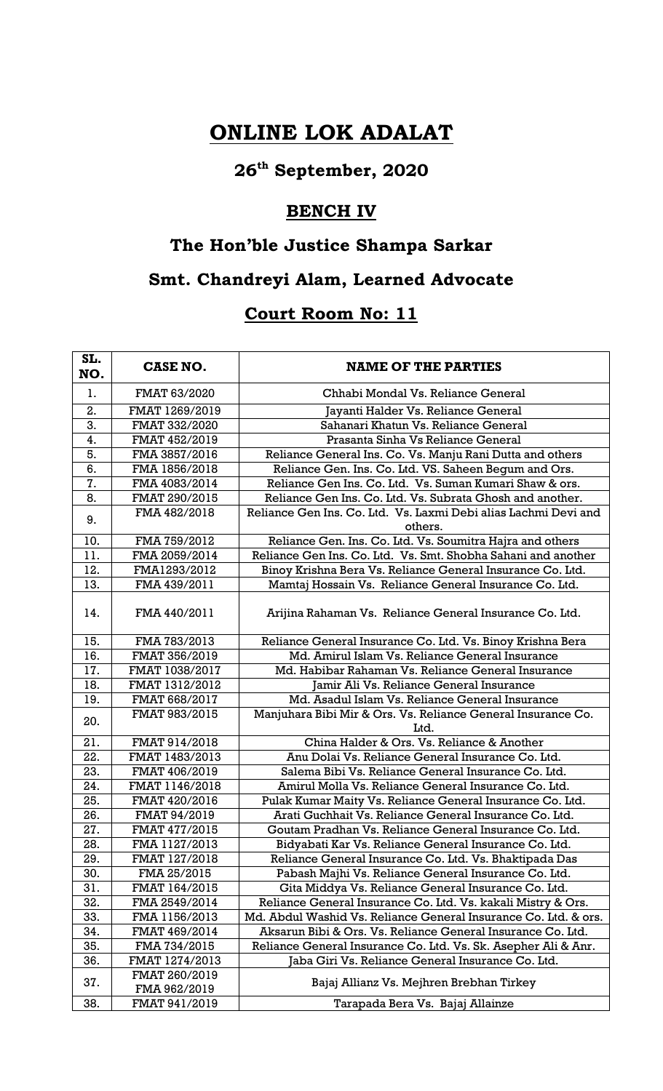## **ONLINE LOK ADALAT**

# **26th September, 2020**

#### **BENCH IV**

#### **The Hon'ble Justice Shampa Sarkar**

### **Smt. Chandreyi Alam, Learned Advocate**

#### **Court Room No: 11**

| SL.<br>NO. | <b>CASE NO.</b>               | <b>NAME OF THE PARTIES</b>                                                 |
|------------|-------------------------------|----------------------------------------------------------------------------|
| 1.         | FMAT 63/2020                  | Chhabi Mondal Vs. Reliance General                                         |
| 2.         | FMAT 1269/2019                | Jayanti Halder Vs. Reliance General                                        |
| 3.         | FMAT 332/2020                 | Sahanari Khatun Vs. Reliance General                                       |
| 4.         | FMAT 452/2019                 | Prasanta Sinha Vs Reliance General                                         |
| 5.         | FMA 3857/2016                 | Reliance General Ins. Co. Vs. Manju Rani Dutta and others                  |
| 6.         | FMA 1856/2018                 | Reliance Gen. Ins. Co. Ltd. VS. Saheen Begum and Ors.                      |
| 7.         | FMA 4083/2014                 | Reliance Gen Ins. Co. Ltd. Vs. Suman Kumari Shaw & ors.                    |
| 8.         | FMAT 290/2015                 | Reliance Gen Ins. Co. Ltd. Vs. Subrata Ghosh and another.                  |
| 9.         | FMA 482/2018                  | Reliance Gen Ins. Co. Ltd. Vs. Laxmi Debi alias Lachmi Devi and<br>others. |
| 10.        | FMA 759/2012                  | Reliance Gen. Ins. Co. Ltd. Vs. Soumitra Hajra and others                  |
| 11.        | FMA 2059/2014                 | Reliance Gen Ins. Co. Ltd. Vs. Smt. Shobha Sahani and another              |
| 12.        | FMA1293/2012                  | Binoy Krishna Bera Vs. Reliance General Insurance Co. Ltd.                 |
| 13.        | FMA 439/2011                  | Mamtaj Hossain Vs. Reliance General Insurance Co. Ltd.                     |
| 14.        | FMA 440/2011                  | Arijina Rahaman Vs. Reliance General Insurance Co. Ltd.                    |
| 15.        | FMA 783/2013                  | Reliance General Insurance Co. Ltd. Vs. Binoy Krishna Bera                 |
| 16.        | FMAT 356/2019                 | Md. Amirul Islam Vs. Reliance General Insurance                            |
| 17.        | FMAT 1038/2017                | Md. Habibar Rahaman Vs. Reliance General Insurance                         |
| 18.        | FMAT 1312/2012                | Jamir Ali Vs. Reliance General Insurance                                   |
| 19.        | FMAT 668/2017                 | Md. Asadul Islam Vs. Reliance General Insurance                            |
| 20.        | FMAT 983/2015                 | Manjuhara Bibi Mir & Ors. Vs. Reliance General Insurance Co.<br>Ltd.       |
| 21.        | FMAT 914/2018                 | China Halder & Ors. Vs. Reliance & Another                                 |
| 22.        | FMAT 1483/2013                | Anu Dolai Vs. Reliance General Insurance Co. Ltd.                          |
| 23.        | FMAT 406/2019                 | Salema Bibi Vs. Reliance General Insurance Co. Ltd.                        |
| 24.        | FMAT 1146/2018                | Amirul Molla Vs. Reliance General Insurance Co. Ltd.                       |
| 25.        | FMAT 420/2016                 | Pulak Kumar Maity Vs. Reliance General Insurance Co. Ltd.                  |
| 26.        | FMAT 94/2019                  | Arati Guchhait Vs. Reliance General Insurance Co. Ltd.                     |
| 27.        | FMAT 477/2015                 | Goutam Pradhan Vs. Reliance General Insurance Co. Ltd.                     |
| 28.        | FMA 1127/2013                 | Bidyabati Kar Vs. Reliance General Insurance Co. Ltd.                      |
| 29.        | FMAT 127/2018                 | Reliance General Insurance Co. Ltd. Vs. Bhaktipada Das                     |
| 30.        | FMA 25/2015                   | Pabash Majhi Vs. Reliance General Insurance Co. Ltd.                       |
| 31.        | FMAT 164/2015                 | Gita Middya Vs. Reliance General Insurance Co. Ltd.                        |
| 32.        | FMA 2549/2014                 | Reliance General Insurance Co. Ltd. Vs. kakali Mistry & Ors.               |
| 33.        | FMA 1156/2013                 | Md. Abdul Washid Vs. Reliance General Insurance Co. Ltd. & ors.            |
| 34.        | FMAT 469/2014                 | Aksarun Bibi & Ors. Vs. Reliance General Insurance Co. Ltd.                |
| 35.        | FMA 734/2015                  | Reliance General Insurance Co. Ltd. Vs. Sk. Asepher Ali & Anr.             |
| 36.        | FMAT 1274/2013                | Jaba Giri Vs. Reliance General Insurance Co. Ltd.                          |
| 37.        | FMAT 260/2019<br>FMA 962/2019 | Bajaj Allianz Vs. Mejhren Brebhan Tirkey                                   |
| 38.        | FMAT 941/2019                 | Tarapada Bera Vs. Bajaj Allainze                                           |